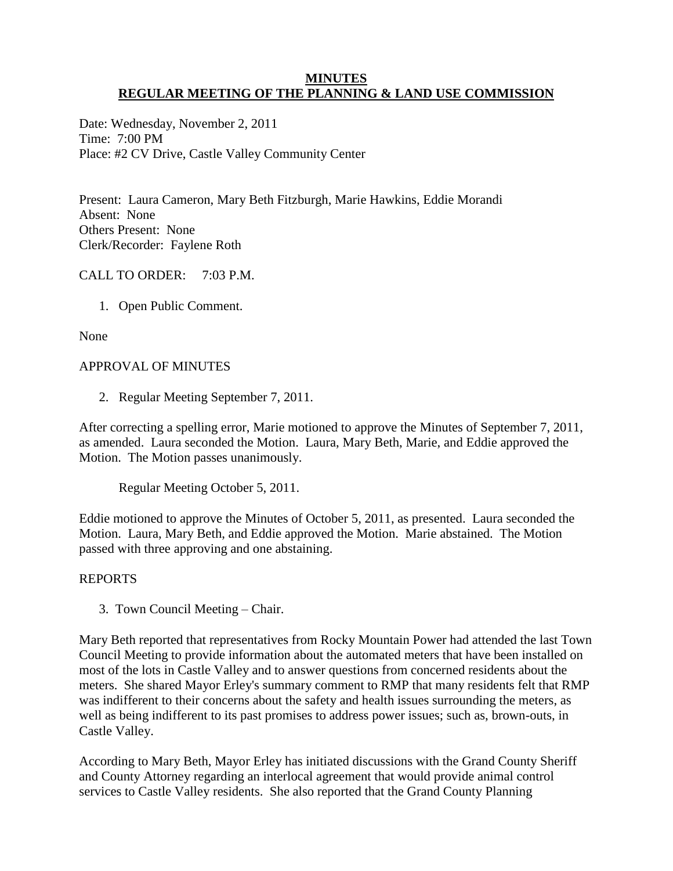#### **MINUTES REGULAR MEETING OF THE PLANNING & LAND USE COMMISSION**

Date: Wednesday, November 2, 2011 Time: 7:00 PM Place: #2 CV Drive, Castle Valley Community Center

Present: Laura Cameron, Mary Beth Fitzburgh, Marie Hawkins, Eddie Morandi Absent: None Others Present: None Clerk/Recorder: Faylene Roth

# CALL TO ORDER: 7:03 P.M.

1. Open Public Comment.

None

# APPROVAL OF MINUTES

2. Regular Meeting September 7, 2011.

After correcting a spelling error, Marie motioned to approve the Minutes of September 7, 2011, as amended. Laura seconded the Motion. Laura, Mary Beth, Marie, and Eddie approved the Motion. The Motion passes unanimously.

Regular Meeting October 5, 2011.

Eddie motioned to approve the Minutes of October 5, 2011, as presented. Laura seconded the Motion. Laura, Mary Beth, and Eddie approved the Motion. Marie abstained. The Motion passed with three approving and one abstaining.

# REPORTS

3. Town Council Meeting – Chair.

Mary Beth reported that representatives from Rocky Mountain Power had attended the last Town Council Meeting to provide information about the automated meters that have been installed on most of the lots in Castle Valley and to answer questions from concerned residents about the meters. She shared Mayor Erley's summary comment to RMP that many residents felt that RMP was indifferent to their concerns about the safety and health issues surrounding the meters, as well as being indifferent to its past promises to address power issues; such as, brown-outs, in Castle Valley.

According to Mary Beth, Mayor Erley has initiated discussions with the Grand County Sheriff and County Attorney regarding an interlocal agreement that would provide animal control services to Castle Valley residents. She also reported that the Grand County Planning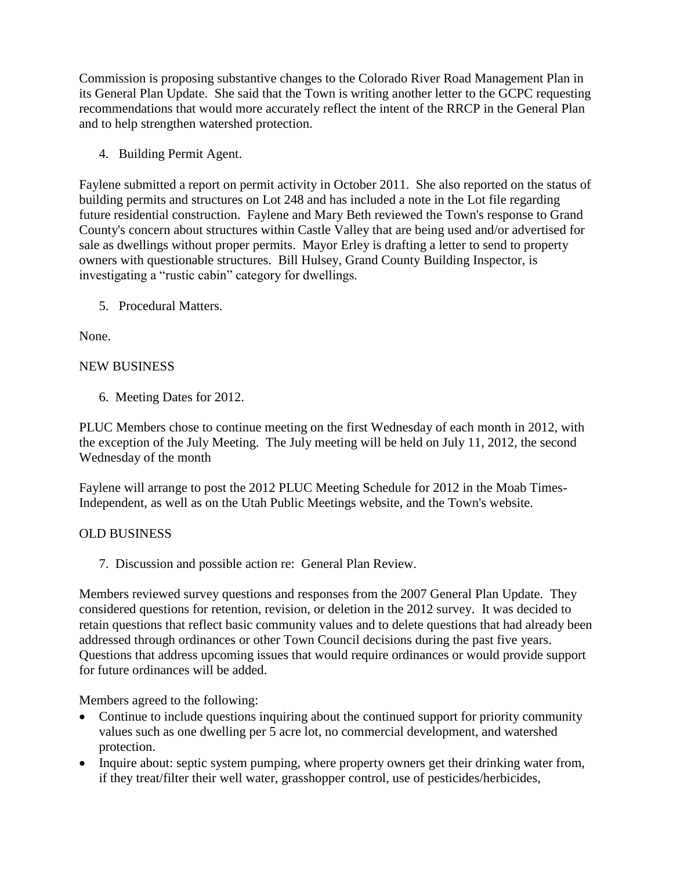Commission is proposing substantive changes to the Colorado River Road Management Plan in its General Plan Update. She said that the Town is writing another letter to the GCPC requesting recommendations that would more accurately reflect the intent of the RRCP in the General Plan and to help strengthen watershed protection.

4. Building Permit Agent.

Faylene submitted a report on permit activity in October 2011. She also reported on the status of building permits and structures on Lot 248 and has included a note in the Lot file regarding future residential construction. Faylene and Mary Beth reviewed the Town's response to Grand County's concern about structures within Castle Valley that are being used and/or advertised for sale as dwellings without proper permits. Mayor Erley is drafting a letter to send to property owners with questionable structures. Bill Hulsey, Grand County Building Inspector, is investigating a "rustic cabin" category for dwellings.

5. Procedural Matters.

None.

# NEW BUSINESS

6. Meeting Dates for 2012.

PLUC Members chose to continue meeting on the first Wednesday of each month in 2012, with the exception of the July Meeting. The July meeting will be held on July 11, 2012, the second Wednesday of the month

Faylene will arrange to post the 2012 PLUC Meeting Schedule for 2012 in the Moab Times-Independent, as well as on the Utah Public Meetings website, and the Town's website.

# OLD BUSINESS

7. Discussion and possible action re: General Plan Review.

Members reviewed survey questions and responses from the 2007 General Plan Update. They considered questions for retention, revision, or deletion in the 2012 survey. It was decided to retain questions that reflect basic community values and to delete questions that had already been addressed through ordinances or other Town Council decisions during the past five years. Questions that address upcoming issues that would require ordinances or would provide support for future ordinances will be added.

Members agreed to the following:

- Continue to include questions inquiring about the continued support for priority community values such as one dwelling per 5 acre lot, no commercial development, and watershed protection.
- Inquire about: septic system pumping, where property owners get their drinking water from, if they treat/filter their well water, grasshopper control, use of pesticides/herbicides,